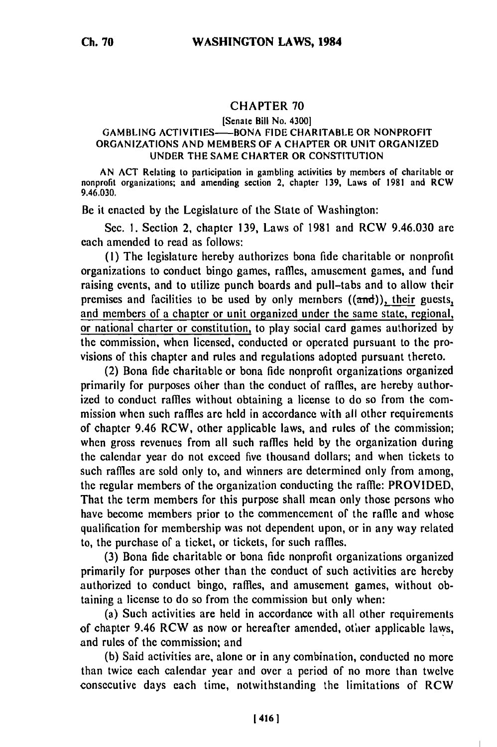## **CHAPTER 70**

## [Senate Bill No. 4300]

## GAMBLING **ACTIVITIES-BONA FIDE** CHARITABLE OR NONPROFIT ORGANIZATIONS **AND** MEMBERS OF A CHAPTER OR **UNIT** ORGANIZED **UNDER** THE **SAME** CHARTER OR **CONSTITUTION**

**AN ACT** Relating to participation in gambling activities **by** members of charitable or nonprofit organizations: and amending section 2, chapter **139,** Laws of 1981 and RCW 9.46.030.

Be it enacted **by** the Legislature of the State of Washington:

**See.** I. Section 2, chapter **139,** Laws of 1981 and RCW 9.46.030 are each amended to read as follows:

**(1)** The legislature hereby authorizes bona fide charitable or nonprofit organizations to conduct bingo games, raffles, amusement games, and fund raising events, and to utilize punch boards and pull-tabs and to allow their premises and facilities to be used by only members  $((\text{and}))$ , their guests, and members of a chapter or unit organized under the same state, regional, or national charter or constitution, to play social card games authorized by the commission, when licensed, conducted or operated pursuant to the provisions of this chapter and rules and regulations adopted pursuant thereto.

(2) Bona fide charitable or bona fide nonprofit organizations organized primarily for purposes other than the conduct of raffles, are hereby authorized to conduct raffles without obtaining a license to do so from the commission when such raffles are held in accordance with all other requirements of chapter 9.46 RCW, other applicable laws, and rules of the commission; when gross revenues from all such raffles held by the organization during the calendar year do not exceed five thousand dollars; and when tickets to such raffles are sold only to, and winners are determined only from among, the regular members of the organization conducting the raffle: PROVIDED, That the term members for this purpose shall mean only those persons who have become members prior to the commencement of the raffle and whose qualification for membership was not dependent upon, or in any way related to, the purchase of a ticket, or tickets, for such raffles.

(3) Bona fide charitable or bona fide nonprofit organizations organized primarily for purposes other than the conduct of such activities are hereby authorized to conduct bingo, raffles, and amusement games, without obtaining a license to do so from the commission but only when:

(a) Such activities are held in accordance with all other requirements of chapter 9.46 RCW as now or hereafter amended, otlier applicable laws, and rules of the commission; and

(b) Said activities are, alone or in any combination, conducted no more than twice each calendar year and over a period of no more than twelve consecutive days each time, notwithstanding the limitations of RCW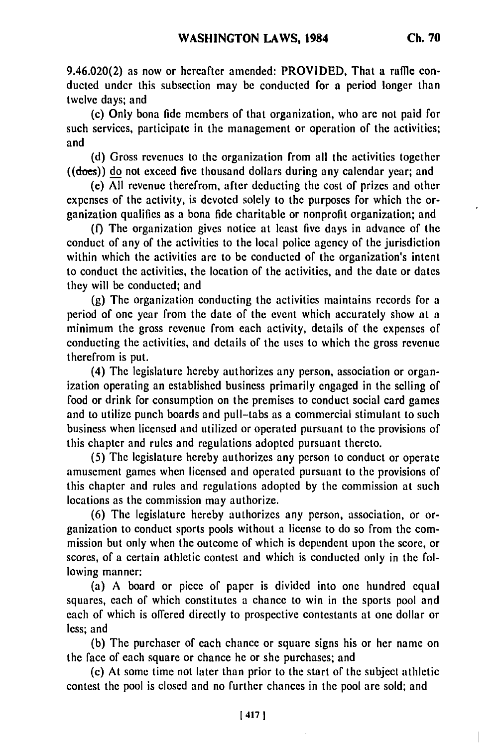9.46.020(2) as now or hereafter amended: PROVIDED, That a raffle conducted under this subsection may be conducted for a period longer than twelve days; and

(c) Only bona fide members of that organization, who **are** not paid for such services, participate in the management or operation of **the** activities; and

**(d)** Gross revenues to the organization from all the activities together  $((ddoes))$  do not exceed five thousand dollars during any calendar year; and

(e) **All** revenue therefrom, after deducting the cost of prizes and other expenses of the activity, is devoted solely to the purposes for which the organization qualifies as a bona fide charitable or nonprofit organization; and

**(f)** The organization gives notice at least five days in advance of the conduct of any of the activities to the local police agency of the jurisdiction within which the activities are to **be** conducted of the organization's intent to conduct the activities, the location of the activities, and the date or dates they will **be** conducted; and

**(g)** The organization conducting the activities maintains records for a period of one year from the date of the event which accurately show at a minimum the gross revenue from each activity, details of the expenses of conducting the activities, and details of the uses to which the gross revenue therefrom is put.

(4) The legislature hereby authorizes any person, association or organization operating an established business primarily engaged in the selling of food or drink for consumption on the premises to conduct social card games and to utilize punch boards and pull-tabs as a commercial stimulant to such business when licensed and utilized or operated pursuant to the provisions of this chapter and rules and regulations adopted pursuant thereto.

**(5)** The legislature hereby authorizes any person to conduct or operate amusement games when licensed and operated pursuant to the provisions of this chapter and rules and regulations adopted **by** the commission at such locations as the commission may authorize.

**(6)** The legislature hereby authorizes any person, association, or organization to conduct sports pools without a license to do so from the commission but only when the outcome of which is dependent upon the score, or scores, of a certain athletic contest and which is conducted only in the following manner:

(a) **A** board or piece of paper is divided into one hundred equal squares, each of which constitutes a chance to win in the sports pool and each of which is offered directly to prospective contestants at one dollar or less; and

**(b)** The purchaser of each chance or square signs his or her name on the face of each square or chance he or she purchases; and

(c) At some time not later than prior to the start of the subject athletic contest the pool is closed and no further chances in the pool are sold; and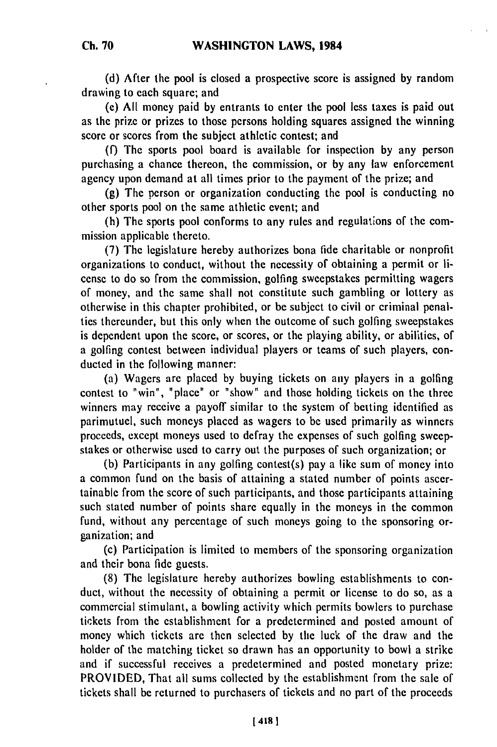**(d)** After the pool is closed a prospective score is assigned **by** random drawing to each square; and

**(c) All** money paid **by** entrants to enter the pool less taxes is paid out as the prize or prizes to those persons holding squares assigned the winning score or scores from the subject athletic contest; and

**(f)** The sports pool board is available for inspection **by** any person purchasing a chance thereon, the commission, or **by** any law enforcement agency upon demand at all times prior to the payment of the prize; and

**(g)** The person or organization conducting the pool is conducting no other sports pool on the same athletic event; and

(h) The sports pool conforms to any rules and regulations of the commission applicable thereto.

**(7)** The legislature hereby authorizes bona fide charitable or nonprofit organizations to conduct, without the necessity of obtaining a permit or license to do so from the commission, golfing sweepstakes permitting wagers of money, and the same shall not constitute such gambling or lottery as otherwise in this chapter prohibited, or **be** subject to civil or criminal penalties thereunder, but this only when the outcome of such golfing sweepstakes is dependent upon the score, or scores, or the playing ability, or abilities, of a golfing contest between individual players or teams of such players, conducted in the following manner:

(a) Wagers are placed **by** buying tickets on any players in a golfing contest to "win", "place" or "show" and those holding tickets on the three winners may receive a payoff similar to the system of betting identified as parimutuel, such moneys placed as wagers to **be** used primarily as winners proceeds, except moneys used to defray the expenses of such golfing sweepstakes or otherwise used to carry out the purposes of such organization; or

**(b)** Participants in any golfing contest(s) pay a like sum of money into a common fund on the basis of attaining a stated number of points ascertainable from the score of such participants, and those participants attaining such stated number of points share equally in the moneys in the common fund, without any percentage of such moneys going to the sponsoring organization; and

(c) Participation is limited to members of the sponsoring organization and their bona **fide** guests.

**(8)** The legislature hereby authorizes bowling establishments to conduct, without the necessity of obtaining a permit or license to do so, as a commercial stimulant, a bowling activity which permits bowlers to purchase tickets from the establishment for a predetermined and posted amount of money which tickets are then selected **by** the luck of the draw and the holder of the matching ticket so drawn has an opportunity to bowl a strike and if successful receives a predetermined and posted monetary prize: PROVIDED, That all sums collected **by** the establishment from the sale of tickets shall **be** returned to purchasers of tickets and no part of the proceeds